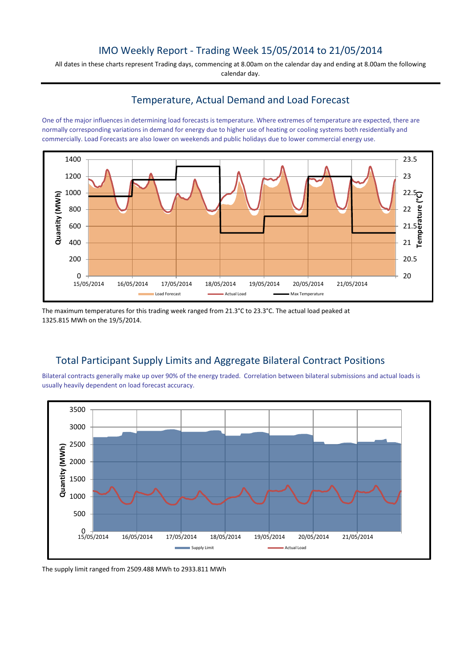## IMO Weekly Report - Trading Week 15/05/2014 to 21/05/2014

All dates in these charts represent Trading days, commencing at 8.00am on the calendar day and ending at 8.00am the following calendar day.

#### Temperature, Actual Demand and Load Forecast

One of the major influences in determining load forecasts is temperature. Where extremes of temperature are expected, there are normally corresponding variations in demand for energy due to higher use of heating or cooling systems both residentially and commercially. Load Forecasts are also lower on weekends and public holidays due to lower commercial energy use.



The maximum temperatures for this trading week ranged from 21.3°C to 23.3°C. The actual load peaked at 1325.815 MWh on the 19/5/2014.

# Total Participant Supply Limits and Aggregate Bilateral Contract Positions

Bilateral contracts generally make up over 90% of the energy traded. Correlation between bilateral submissions and actual loads is usually heavily dependent on load forecast accuracy.



The supply limit ranged from 2509.488 MWh to 2933.811 MWh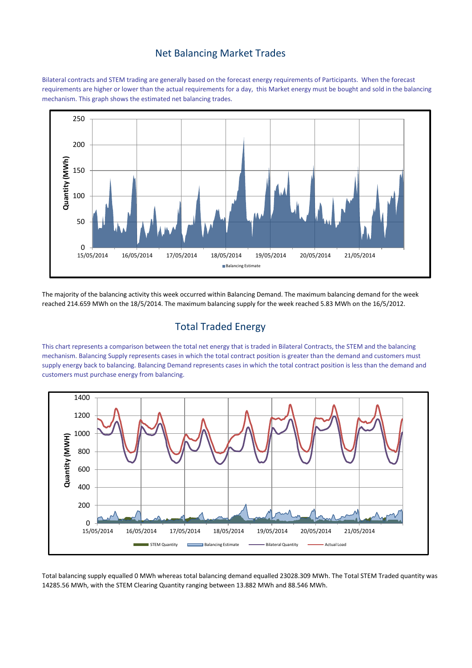#### Net Balancing Market Trades

Bilateral contracts and STEM trading are generally based on the forecast energy requirements of Participants. When the forecast requirements are higher or lower than the actual requirements for a day, this Market energy must be bought and sold in the balancing mechanism. This graph shows the estimated net balancing trades.



The majority of the balancing activity this week occurred within Balancing Demand. The maximum balancing demand for the week reached 214.659 MWh on the 18/5/2014. The maximum balancing supply for the week reached 5.83 MWh on the 16/5/2012.

# Total Traded Energy

This chart represents a comparison between the total net energy that is traded in Bilateral Contracts, the STEM and the balancing mechanism. Balancing Supply represents cases in which the total contract position is greater than the demand and customers must supply energy back to balancing. Balancing Demand represents cases in which the total contract position is less than the demand and customers must purchase energy from balancing.



Total balancing supply equalled 0 MWh whereas total balancing demand equalled 23028.309 MWh. The Total STEM Traded quantity was 14285.56 MWh, with the STEM Clearing Quantity ranging between 13.882 MWh and 88.546 MWh.